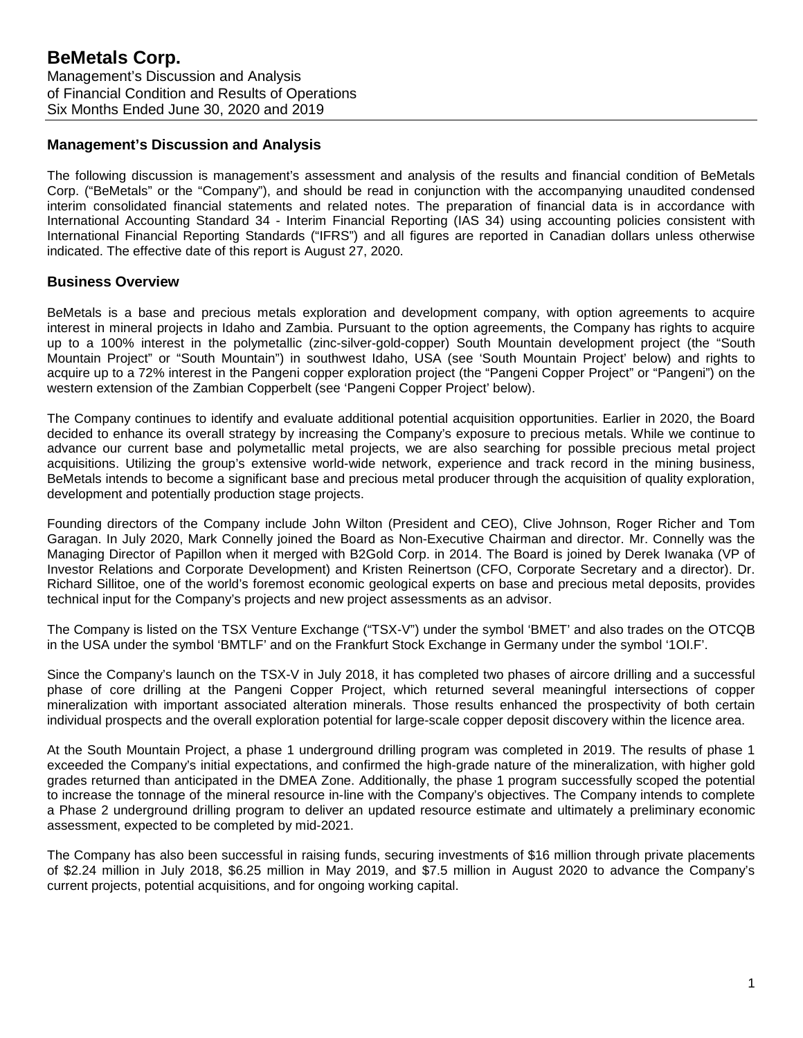## **Management's Discussion and Analysis**

The following discussion is management's assessment and analysis of the results and financial condition of BeMetals Corp. ("BeMetals" or the "Company"), and should be read in conjunction with the accompanying unaudited condensed interim consolidated financial statements and related notes. The preparation of financial data is in accordance with International Accounting Standard 34 - Interim Financial Reporting (IAS 34) using accounting policies consistent with International Financial Reporting Standards ("IFRS") and all figures are reported in Canadian dollars unless otherwise indicated. The effective date of this report is August 27, 2020.

# **Business Overview**

BeMetals is a base and precious metals exploration and development company, with option agreements to acquire interest in mineral projects in Idaho and Zambia. Pursuant to the option agreements, the Company has rights to acquire up to a 100% interest in the polymetallic (zinc-silver-gold-copper) South Mountain development project (the "South Mountain Project" or "South Mountain") in southwest Idaho, USA (see 'South Mountain Project' below) and rights to acquire up to a 72% interest in the Pangeni copper exploration project (the "Pangeni Copper Project" or "Pangeni") on the western extension of the Zambian Copperbelt (see 'Pangeni Copper Project' below).

The Company continues to identify and evaluate additional potential acquisition opportunities. Earlier in 2020, the Board decided to enhance its overall strategy by increasing the Company's exposure to precious metals. While we continue to advance our current base and polymetallic metal projects, we are also searching for possible precious metal project acquisitions. Utilizing the group's extensive world-wide network, experience and track record in the mining business, BeMetals intends to become a significant base and precious metal producer through the acquisition of quality exploration, development and potentially production stage projects.

Founding directors of the Company include John Wilton (President and CEO), Clive Johnson, Roger Richer and Tom Garagan. In July 2020, Mark Connelly joined the Board as Non-Executive Chairman and director. Mr. Connelly was the Managing Director of Papillon when it merged with B2Gold Corp. in 2014. The Board is joined by Derek Iwanaka (VP of Investor Relations and Corporate Development) and Kristen Reinertson (CFO, Corporate Secretary and a director). Dr. Richard Sillitoe, one of the world's foremost economic geological experts on base and precious metal deposits, provides technical input for the Company's projects and new project assessments as an advisor.

The Company is listed on the TSX Venture Exchange ("TSX-V") under the symbol 'BMET' and also trades on the OTCQB in the USA under the symbol 'BMTLF' and on the Frankfurt Stock Exchange in Germany under the symbol '1OI.F'.

Since the Company's launch on the TSX-V in July 2018, it has completed two phases of aircore drilling and a successful phase of core drilling at the Pangeni Copper Project, which returned several meaningful intersections of copper mineralization with important associated alteration minerals. Those results enhanced the prospectivity of both certain individual prospects and the overall exploration potential for large-scale copper deposit discovery within the licence area.

At the South Mountain Project, a phase 1 underground drilling program was completed in 2019. The results of phase 1 exceeded the Company's initial expectations, and confirmed the high-grade nature of the mineralization, with higher gold grades returned than anticipated in the DMEA Zone. Additionally, the phase 1 program successfully scoped the potential to increase the tonnage of the mineral resource in-line with the Company's objectives. The Company intends to complete a Phase 2 underground drilling program to deliver an updated resource estimate and ultimately a preliminary economic assessment, expected to be completed by mid-2021.

The Company has also been successful in raising funds, securing investments of \$16 million through private placements of \$2.24 million in July 2018, \$6.25 million in May 2019, and \$7.5 million in August 2020 to advance the Company's current projects, potential acquisitions, and for ongoing working capital.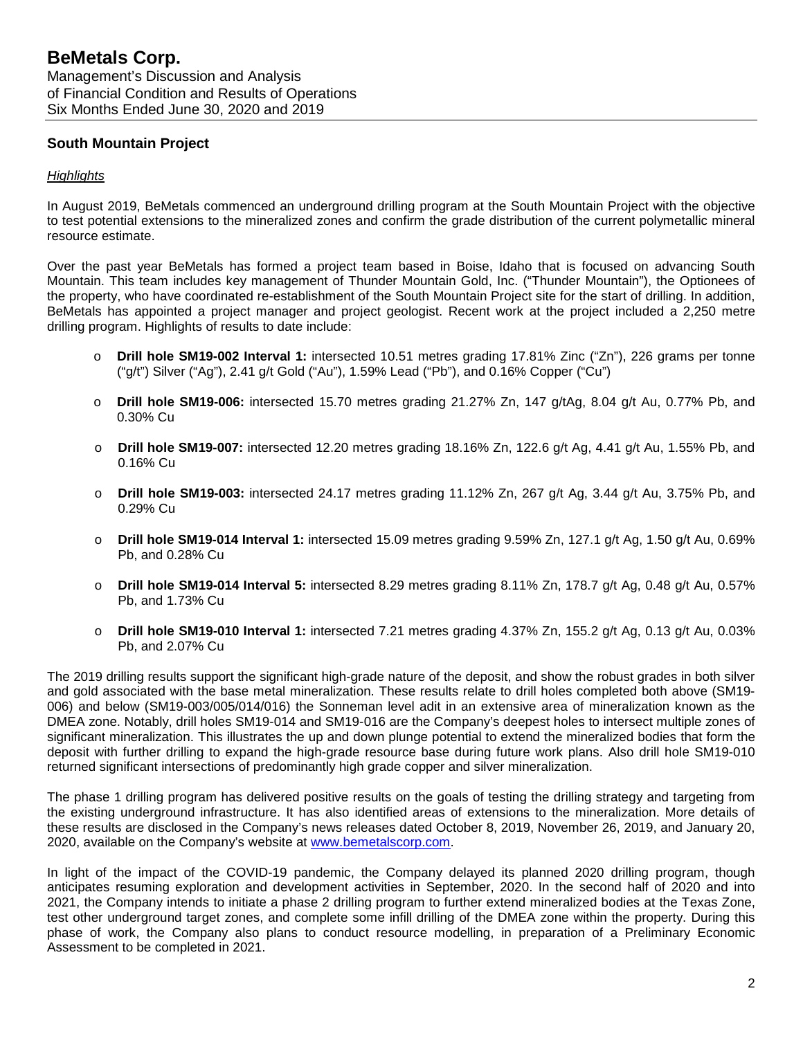# **South Mountain Project**

#### *Highlights*

In August 2019, BeMetals commenced an underground drilling program at the South Mountain Project with the objective to test potential extensions to the mineralized zones and confirm the grade distribution of the current polymetallic mineral resource estimate.

Over the past year BeMetals has formed a project team based in Boise, Idaho that is focused on advancing South Mountain. This team includes key management of Thunder Mountain Gold, Inc. ("Thunder Mountain"), the Optionees of the property, who have coordinated re-establishment of the South Mountain Project site for the start of drilling. In addition, BeMetals has appointed a project manager and project geologist. Recent work at the project included a 2,250 metre drilling program. Highlights of results to date include:

- o **Drill hole SM19-002 Interval 1:** intersected 10.51 metres grading 17.81% Zinc ("Zn"), 226 grams per tonne ("g/t") Silver ("Ag"), 2.41 g/t Gold ("Au"), 1.59% Lead ("Pb"), and 0.16% Copper ("Cu")
- o **Drill hole SM19-006:** intersected 15.70 metres grading 21.27% Zn, 147 g/tAg, 8.04 g/t Au, 0.77% Pb, and 0.30% Cu
- o **Drill hole SM19-007:** intersected 12.20 metres grading 18.16% Zn, 122.6 g/t Ag, 4.41 g/t Au, 1.55% Pb, and 0.16% Cu
- o **Drill hole SM19-003:** intersected 24.17 metres grading 11.12% Zn, 267 g/t Ag, 3.44 g/t Au, 3.75% Pb, and 0.29% Cu
- o **Drill hole SM19-014 Interval 1:** intersected 15.09 metres grading 9.59% Zn, 127.1 g/t Ag, 1.50 g/t Au, 0.69% Pb, and 0.28% Cu
- o **Drill hole SM19-014 Interval 5:** intersected 8.29 metres grading 8.11% Zn, 178.7 g/t Ag, 0.48 g/t Au, 0.57% Pb, and 1.73% Cu
- o **Drill hole SM19-010 Interval 1:** intersected 7.21 metres grading 4.37% Zn, 155.2 g/t Ag, 0.13 g/t Au, 0.03% Pb, and 2.07% Cu

The 2019 drilling results support the significant high-grade nature of the deposit, and show the robust grades in both silver and gold associated with the base metal mineralization. These results relate to drill holes completed both above (SM19- 006) and below (SM19-003/005/014/016) the Sonneman level adit in an extensive area of mineralization known as the DMEA zone. Notably, drill holes SM19-014 and SM19-016 are the Company's deepest holes to intersect multiple zones of significant mineralization. This illustrates the up and down plunge potential to extend the mineralized bodies that form the deposit with further drilling to expand the high-grade resource base during future work plans. Also drill hole SM19-010 returned significant intersections of predominantly high grade copper and silver mineralization.

The phase 1 drilling program has delivered positive results on the goals of testing the drilling strategy and targeting from the existing underground infrastructure. It has also identified areas of extensions to the mineralization. More details of these results are disclosed in the Company's news releases dated October 8, 2019, November 26, 2019, and January 20, 2020, available on the Company's website at [www.bemetalscorp.com.](http://www.bemetalscorp.com/)

In light of the impact of the COVID-19 pandemic, the Company delayed its planned 2020 drilling program, though anticipates resuming exploration and development activities in September, 2020. In the second half of 2020 and into 2021, the Company intends to initiate a phase 2 drilling program to further extend mineralized bodies at the Texas Zone, test other underground target zones, and complete some infill drilling of the DMEA zone within the property. During this phase of work, the Company also plans to conduct resource modelling, in preparation of a Preliminary Economic Assessment to be completed in 2021.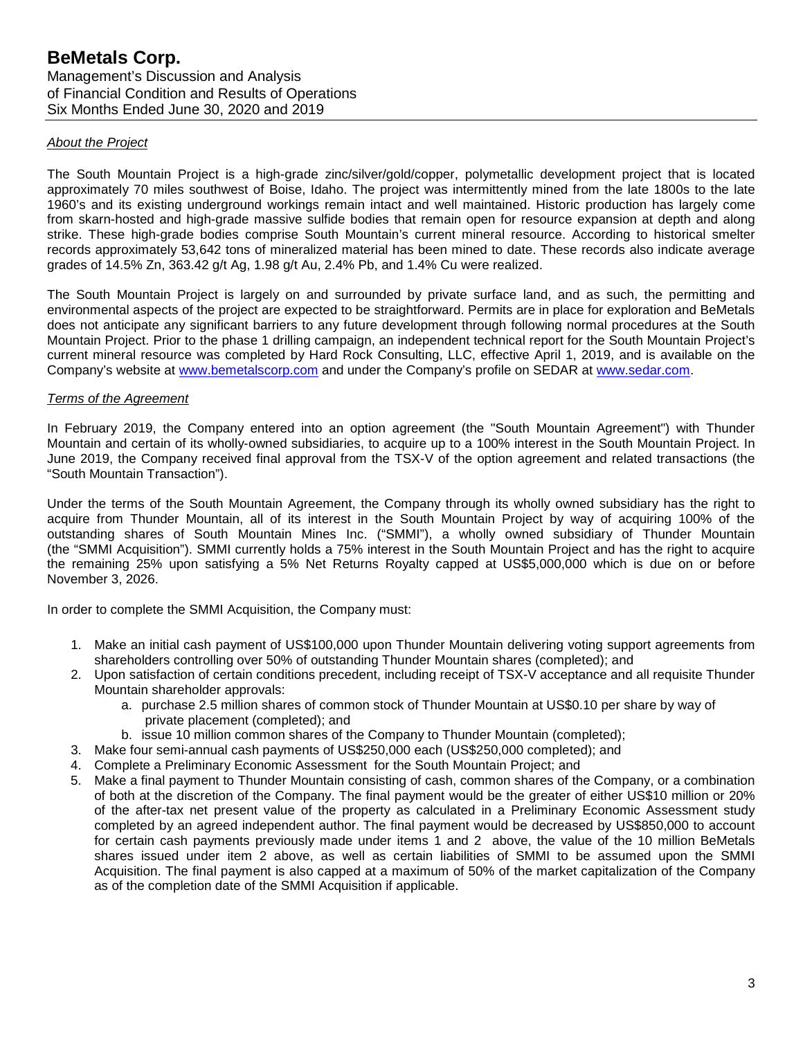#### *About the Project*

The South Mountain Project is a high-grade zinc/silver/gold/copper, polymetallic development project that is located approximately 70 miles southwest of Boise, Idaho. The project was intermittently mined from the late 1800s to the late 1960's and its existing underground workings remain intact and well maintained. Historic production has largely come from skarn-hosted and high-grade massive sulfide bodies that remain open for resource expansion at depth and along strike. These high-grade bodies comprise South Mountain's current mineral resource. According to historical smelter records approximately 53,642 tons of mineralized material has been mined to date. These records also indicate average grades of 14.5% Zn, 363.42 g/t Ag, 1.98 g/t Au, 2.4% Pb, and 1.4% Cu were realized.

The South Mountain Project is largely on and surrounded by private surface land, and as such, the permitting and environmental aspects of the project are expected to be straightforward. Permits are in place for exploration and BeMetals does not anticipate any significant barriers to any future development through following normal procedures at the South Mountain Project. Prior to the phase 1 drilling campaign, an independent technical report for the South Mountain Project's current mineral resource was completed by Hard Rock Consulting, LLC, effective April 1, 2019, and is available on the Company's website at [www.bemetalscorp.com](http://www.bemetalscorp.com/) and under the Company's profile on SEDAR at [www.sedar.com.](http://www.sedar.com/)

#### *Terms of the Agreement*

In February 2019, the Company entered into an option agreement (the "South Mountain Agreement") with Thunder Mountain and certain of its wholly-owned subsidiaries, to acquire up to a 100% interest in the South Mountain Project. In June 2019, the Company received final approval from the TSX-V of the option agreement and related transactions (the "South Mountain Transaction").

Under the terms of the South Mountain Agreement, the Company through its wholly owned subsidiary has the right to acquire from Thunder Mountain, all of its interest in the South Mountain Project by way of acquiring 100% of the outstanding shares of South Mountain Mines Inc. ("SMMI"), a wholly owned subsidiary of Thunder Mountain (the "SMMI Acquisition"). SMMI currently holds a 75% interest in the South Mountain Project and has the right to acquire the remaining 25% upon satisfying a 5% Net Returns Royalty capped at US\$5,000,000 which is due on or before November 3, 2026.

In order to complete the SMMI Acquisition, the Company must:

- 1. Make an initial cash payment of US\$100,000 upon Thunder Mountain delivering voting support agreements from shareholders controlling over 50% of outstanding Thunder Mountain shares (completed); and
- 2. Upon satisfaction of certain conditions precedent, including receipt of TSX-V acceptance and all requisite Thunder Mountain shareholder approvals:
	- a. purchase 2.5 million shares of common stock of Thunder Mountain at US\$0.10 per share by way of private placement (completed); and
	- b. issue 10 million common shares of the Company to Thunder Mountain (completed);
- 3. Make four semi-annual cash payments of US\$250,000 each (US\$250,000 completed); and
- 4. Complete a Preliminary Economic Assessment for the South Mountain Project; and
- 5. Make a final payment to Thunder Mountain consisting of cash, common shares of the Company, or a combination of both at the discretion of the Company. The final payment would be the greater of either US\$10 million or 20% of the after-tax net present value of the property as calculated in a Preliminary Economic Assessment study completed by an agreed independent author. The final payment would be decreased by US\$850,000 to account for certain cash payments previously made under items 1 and 2 above, the value of the 10 million BeMetals shares issued under item 2 above, as well as certain liabilities of SMMI to be assumed upon the SMMI Acquisition. The final payment is also capped at a maximum of 50% of the market capitalization of the Company as of the completion date of the SMMI Acquisition if applicable.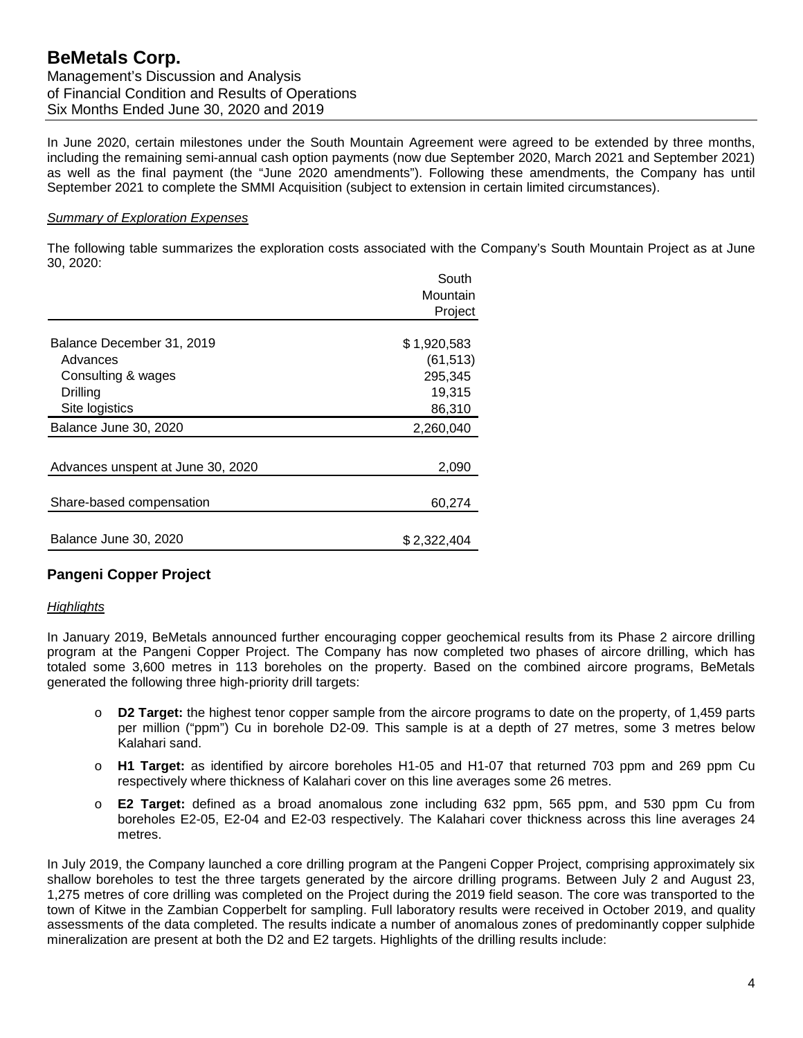In June 2020, certain milestones under the South Mountain Agreement were agreed to be extended by three months, including the remaining semi-annual cash option payments (now due September 2020, March 2021 and September 2021) as well as the final payment (the "June 2020 amendments"). Following these amendments, the Company has until September 2021 to complete the SMMI Acquisition (subject to extension in certain limited circumstances).

#### *Summary of Exploration Expenses*

The following table summarizes the exploration costs associated with the Company's South Mountain Project as at June 30, 2020:

|                                   | South       |
|-----------------------------------|-------------|
|                                   | Mountain    |
|                                   | Project     |
|                                   |             |
| Balance December 31, 2019         | \$1,920,583 |
| Advances                          | (61, 513)   |
| Consulting & wages                | 295,345     |
| Drilling                          | 19,315      |
| Site logistics                    | 86,310      |
| Balance June 30, 2020             | 2,260,040   |
|                                   |             |
| Advances unspent at June 30, 2020 | 2,090       |
|                                   |             |
| Share-based compensation          | 60,274      |
|                                   |             |
| Balance June 30, 2020             | \$2.322.404 |

# **Pangeni Copper Project**

#### *Highlights*

In January 2019, BeMetals announced further encouraging copper geochemical results from its Phase 2 aircore drilling program at the Pangeni Copper Project. The Company has now completed two phases of aircore drilling, which has totaled some 3,600 metres in 113 boreholes on the property. Based on the combined aircore programs, BeMetals generated the following three high-priority drill targets:

- o **D2 Target:** the highest tenor copper sample from the aircore programs to date on the property, of 1,459 parts per million ("ppm") Cu in borehole D2-09. This sample is at a depth of 27 metres, some 3 metres below Kalahari sand.
- o **H1 Target:** as identified by aircore boreholes H1-05 and H1-07 that returned 703 ppm and 269 ppm Cu respectively where thickness of Kalahari cover on this line averages some 26 metres.
- o **E2 Target:** defined as a broad anomalous zone including 632 ppm, 565 ppm, and 530 ppm Cu from boreholes E2-05, E2-04 and E2-03 respectively. The Kalahari cover thickness across this line averages 24 metres.

In July 2019, the Company launched a core drilling program at the Pangeni Copper Project, comprising approximately six shallow boreholes to test the three targets generated by the aircore drilling programs. Between July 2 and August 23, 1,275 metres of core drilling was completed on the Project during the 2019 field season. The core was transported to the town of Kitwe in the Zambian Copperbelt for sampling. Full laboratory results were received in October 2019, and quality assessments of the data completed. The results indicate a number of anomalous zones of predominantly copper sulphide mineralization are present at both the D2 and E2 targets. Highlights of the drilling results include: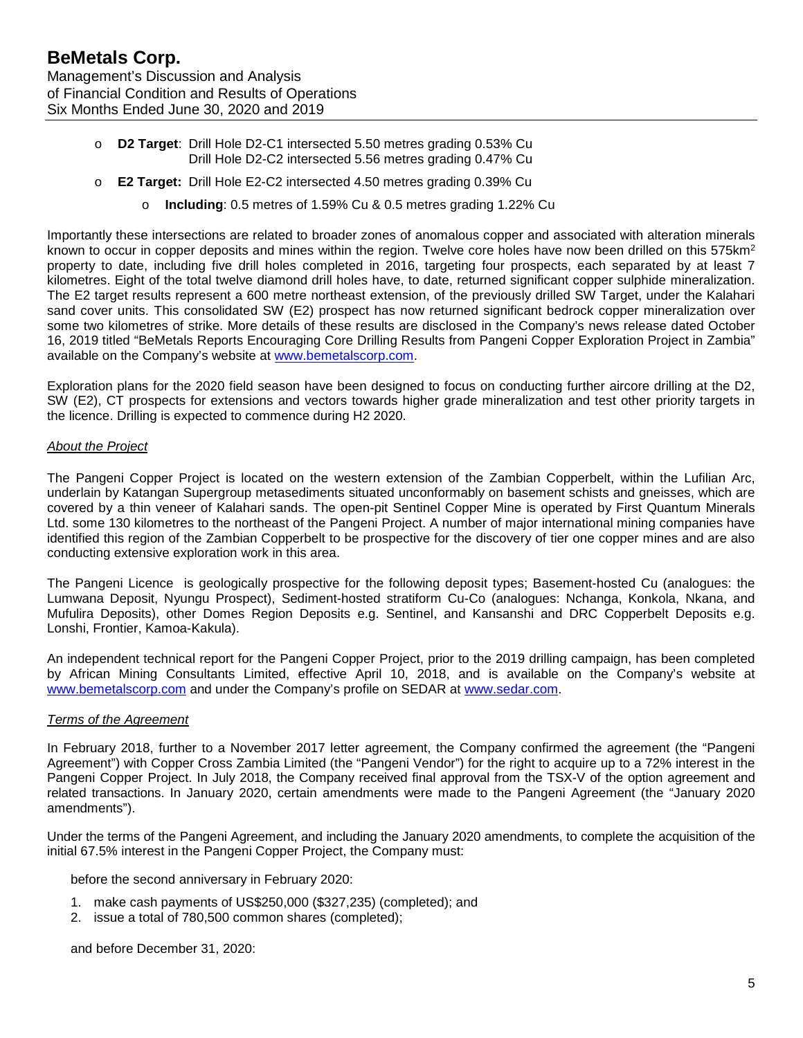- o **D2 Target**: Drill Hole D2-C1 intersected 5.50 metres grading 0.53% Cu Drill Hole D2-C2 intersected 5.56 metres grading 0.47% Cu
- o **E2 Target:** Drill Hole E2-C2 intersected 4.50 metres grading 0.39% Cu
	- o **Including**: 0.5 metres of 1.59% Cu & 0.5 metres grading 1.22% Cu

Importantly these intersections are related to broader zones of anomalous copper and associated with alteration minerals known to occur in copper deposits and mines within the region. Twelve core holes have now been drilled on this 575km<sup>2</sup> property to date, including five drill holes completed in 2016, targeting four prospects, each separated by at least 7 kilometres. Eight of the total twelve diamond drill holes have, to date, returned significant copper sulphide mineralization. The E2 target results represent a 600 metre northeast extension, of the previously drilled SW Target, under the Kalahari sand cover units. This consolidated SW (E2) prospect has now returned significant bedrock copper mineralization over some two kilometres of strike. More details of these results are disclosed in the Company's news release dated October 16, 2019 titled "BeMetals Reports Encouraging Core Drilling Results from Pangeni Copper Exploration Project in Zambia" available on the Company's website at [www.bemetalscorp.com.](http://www.bemetalscorp.com/)

Exploration plans for the 2020 field season have been designed to focus on conducting further aircore drilling at the D2, SW (E2), CT prospects for extensions and vectors towards higher grade mineralization and test other priority targets in the licence. Drilling is expected to commence during H2 2020.

#### *About the Project*

The Pangeni Copper Project is located on the western extension of the Zambian Copperbelt, within the Lufilian Arc, underlain by Katangan Supergroup metasediments situated unconformably on basement schists and gneisses, which are covered by a thin veneer of Kalahari sands. The open-pit Sentinel Copper Mine is operated by First Quantum Minerals Ltd. some 130 kilometres to the northeast of the Pangeni Project. A number of major international mining companies have identified this region of the Zambian Copperbelt to be prospective for the discovery of tier one copper mines and are also conducting extensive exploration work in this area.

The Pangeni Licence is geologically prospective for the following deposit types; Basement-hosted Cu (analogues: the Lumwana Deposit, Nyungu Prospect), Sediment-hosted stratiform Cu-Co (analogues: Nchanga, Konkola, Nkana, and Mufulira Deposits), other Domes Region Deposits e.g. Sentinel, and Kansanshi and DRC Copperbelt Deposits e.g. Lonshi, Frontier, Kamoa-Kakula).

An independent technical report for the Pangeni Copper Project, prior to the 2019 drilling campaign, has been completed by African Mining Consultants Limited, effective April 10, 2018, and is available on the Company's website at [www.bemetalscorp.com](http://www.bemetalscorp.com/) and under the Company's profile on SEDAR at [www.sedar.com.](http://www.sedar.com/)

## *Terms of the Agreement*

In February 2018, further to a November 2017 letter agreement, the Company confirmed the agreement (the "Pangeni Agreement") with Copper Cross Zambia Limited (the "Pangeni Vendor") for the right to acquire up to a 72% interest in the Pangeni Copper Project. In July 2018, the Company received final approval from the TSX-V of the option agreement and related transactions. In January 2020, certain amendments were made to the Pangeni Agreement (the "January 2020 amendments").

Under the terms of the Pangeni Agreement, and including the January 2020 amendments, to complete the acquisition of the initial 67.5% interest in the Pangeni Copper Project, the Company must:

before the second anniversary in February 2020:

- 1. make cash payments of US\$250,000 (\$327,235) (completed); and
- 2. issue a total of 780,500 common shares (completed);

and before December 31, 2020: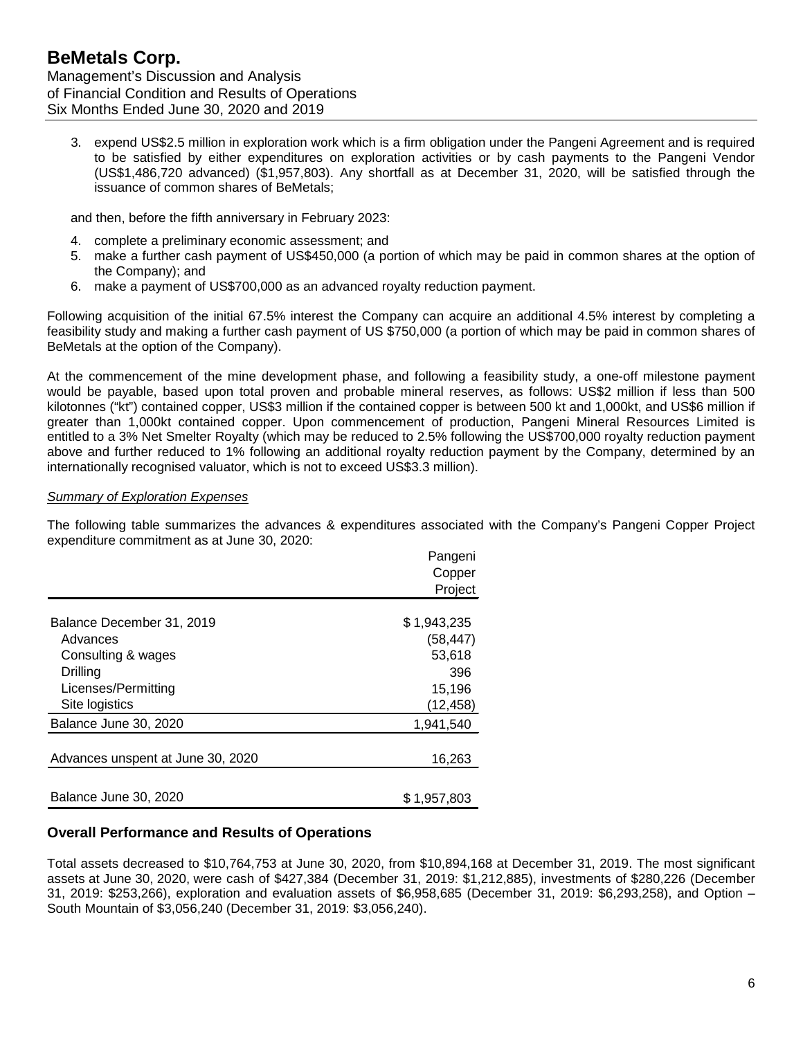3. expend US\$2.5 million in exploration work which is a firm obligation under the Pangeni Agreement and is required to be satisfied by either expenditures on exploration activities or by cash payments to the Pangeni Vendor (US\$1,486,720 advanced) (\$1,957,803). Any shortfall as at December 31, 2020, will be satisfied through the issuance of common shares of BeMetals;

and then, before the fifth anniversary in February 2023:

- 4. complete a preliminary economic assessment; and
- 5. make a further cash payment of US\$450,000 (a portion of which may be paid in common shares at the option of the Company); and
- 6. make a payment of US\$700,000 as an advanced royalty reduction payment.

Following acquisition of the initial 67.5% interest the Company can acquire an additional 4.5% interest by completing a feasibility study and making a further cash payment of US \$750,000 (a portion of which may be paid in common shares of BeMetals at the option of the Company).

At the commencement of the mine development phase, and following a feasibility study, a one-off milestone payment would be payable, based upon total proven and probable mineral reserves, as follows: US\$2 million if less than 500 kilotonnes ("kt") contained copper, US\$3 million if the contained copper is between 500 kt and 1,000kt, and US\$6 million if greater than 1,000kt contained copper. Upon commencement of production, Pangeni Mineral Resources Limited is entitled to a 3% Net Smelter Royalty (which may be reduced to 2.5% following the US\$700,000 royalty reduction payment above and further reduced to 1% following an additional royalty reduction payment by the Company, determined by an internationally recognised valuator, which is not to exceed US\$3.3 million).

## *Summary of Exploration Expenses*

The following table summarizes the advances & expenditures associated with the Company's Pangeni Copper Project expenditure commitment as at June 30, 2020:

|                                   | Pangeni     |
|-----------------------------------|-------------|
|                                   | Copper      |
|                                   | Project     |
|                                   |             |
| Balance December 31, 2019         | \$1,943,235 |
| Advances                          | (58, 447)   |
| Consulting & wages                | 53,618      |
| Drilling                          | 396         |
| Licenses/Permitting               | 15,196      |
| Site logistics                    | (12, 458)   |
| Balance June 30, 2020             | 1,941,540   |
|                                   |             |
| Advances unspent at June 30, 2020 | 16,263      |
|                                   |             |
| Balance June 30, 2020             | \$1,957,803 |

## **Overall Performance and Results of Operations**

Total assets decreased to \$10,764,753 at June 30, 2020, from \$10,894,168 at December 31, 2019. The most significant assets at June 30, 2020, were cash of \$427,384 (December 31, 2019: \$1,212,885), investments of \$280,226 (December 31, 2019: \$253,266), exploration and evaluation assets of \$6,958,685 (December 31, 2019: \$6,293,258), and Option – South Mountain of \$3,056,240 (December 31, 2019: \$3,056,240).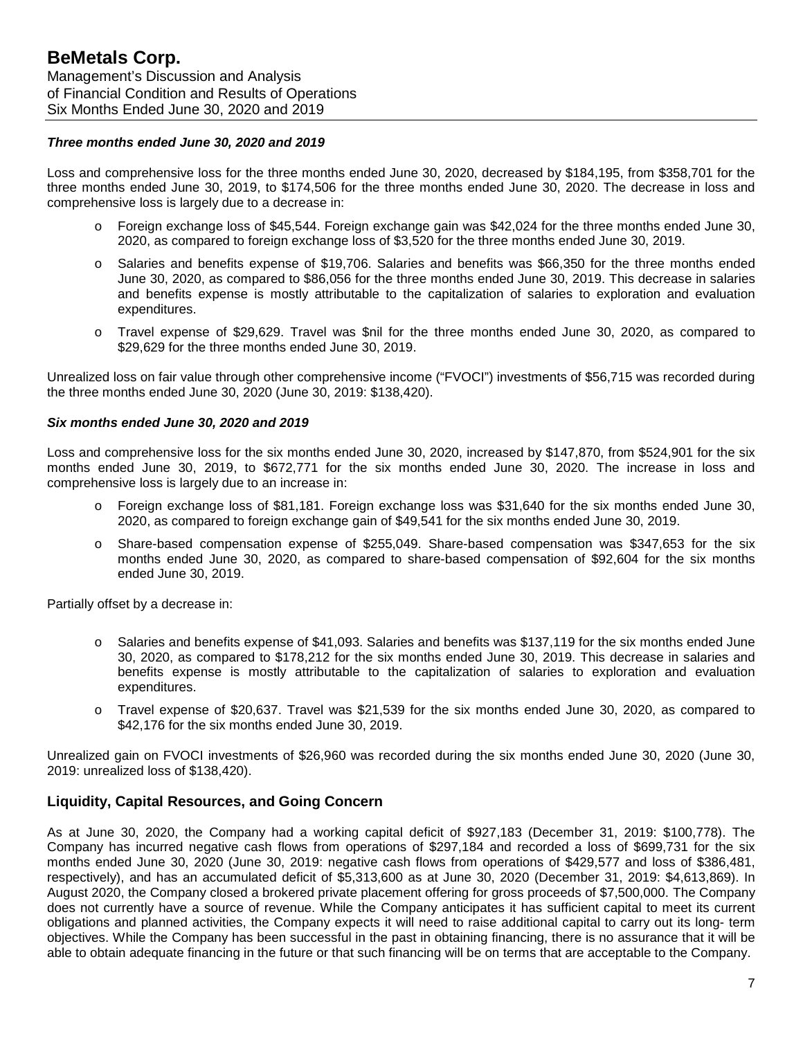#### *Three months ended June 30, 2020 and 2019*

Loss and comprehensive loss for the three months ended June 30, 2020, decreased by \$184,195, from \$358,701 for the three months ended June 30, 2019, to \$174,506 for the three months ended June 30, 2020. The decrease in loss and comprehensive loss is largely due to a decrease in:

- o Foreign exchange loss of \$45,544. Foreign exchange gain was \$42,024 for the three months ended June 30, 2020, as compared to foreign exchange loss of \$3,520 for the three months ended June 30, 2019.
- o Salaries and benefits expense of \$19,706. Salaries and benefits was \$66,350 for the three months ended June 30, 2020, as compared to \$86,056 for the three months ended June 30, 2019. This decrease in salaries and benefits expense is mostly attributable to the capitalization of salaries to exploration and evaluation expenditures.
- o Travel expense of \$29,629. Travel was \$nil for the three months ended June 30, 2020, as compared to \$29,629 for the three months ended June 30, 2019.

Unrealized loss on fair value through other comprehensive income ("FVOCI") investments of \$56,715 was recorded during the three months ended June 30, 2020 (June 30, 2019: \$138,420).

#### *Six months ended June 30, 2020 and 2019*

Loss and comprehensive loss for the six months ended June 30, 2020, increased by \$147,870, from \$524,901 for the six months ended June 30, 2019, to \$672,771 for the six months ended June 30, 2020. The increase in loss and comprehensive loss is largely due to an increase in:

- Foreign exchange loss of \$81,181. Foreign exchange loss was \$31,640 for the six months ended June 30, 2020, as compared to foreign exchange gain of \$49,541 for the six months ended June 30, 2019.
- o Share-based compensation expense of \$255,049. Share-based compensation was \$347,653 for the six months ended June 30, 2020, as compared to share-based compensation of \$92,604 for the six months ended June 30, 2019.

Partially offset by a decrease in:

- o Salaries and benefits expense of \$41,093. Salaries and benefits was \$137,119 for the six months ended June 30, 2020, as compared to \$178,212 for the six months ended June 30, 2019. This decrease in salaries and benefits expense is mostly attributable to the capitalization of salaries to exploration and evaluation expenditures.
- o Travel expense of \$20,637. Travel was \$21,539 for the six months ended June 30, 2020, as compared to \$42,176 for the six months ended June 30, 2019.

Unrealized gain on FVOCI investments of \$26,960 was recorded during the six months ended June 30, 2020 (June 30, 2019: unrealized loss of \$138,420).

## **Liquidity, Capital Resources, and Going Concern**

As at June 30, 2020, the Company had a working capital deficit of \$927,183 (December 31, 2019: \$100,778). The Company has incurred negative cash flows from operations of \$297,184 and recorded a loss of \$699,731 for the six months ended June 30, 2020 (June 30, 2019: negative cash flows from operations of \$429,577 and loss of \$386,481, respectively), and has an accumulated deficit of \$5,313,600 as at June 30, 2020 (December 31, 2019: \$4,613,869). In August 2020, the Company closed a brokered private placement offering for gross proceeds of \$7,500,000. The Company does not currently have a source of revenue. While the Company anticipates it has sufficient capital to meet its current obligations and planned activities, the Company expects it will need to raise additional capital to carry out its long- term objectives. While the Company has been successful in the past in obtaining financing, there is no assurance that it will be able to obtain adequate financing in the future or that such financing will be on terms that are acceptable to the Company.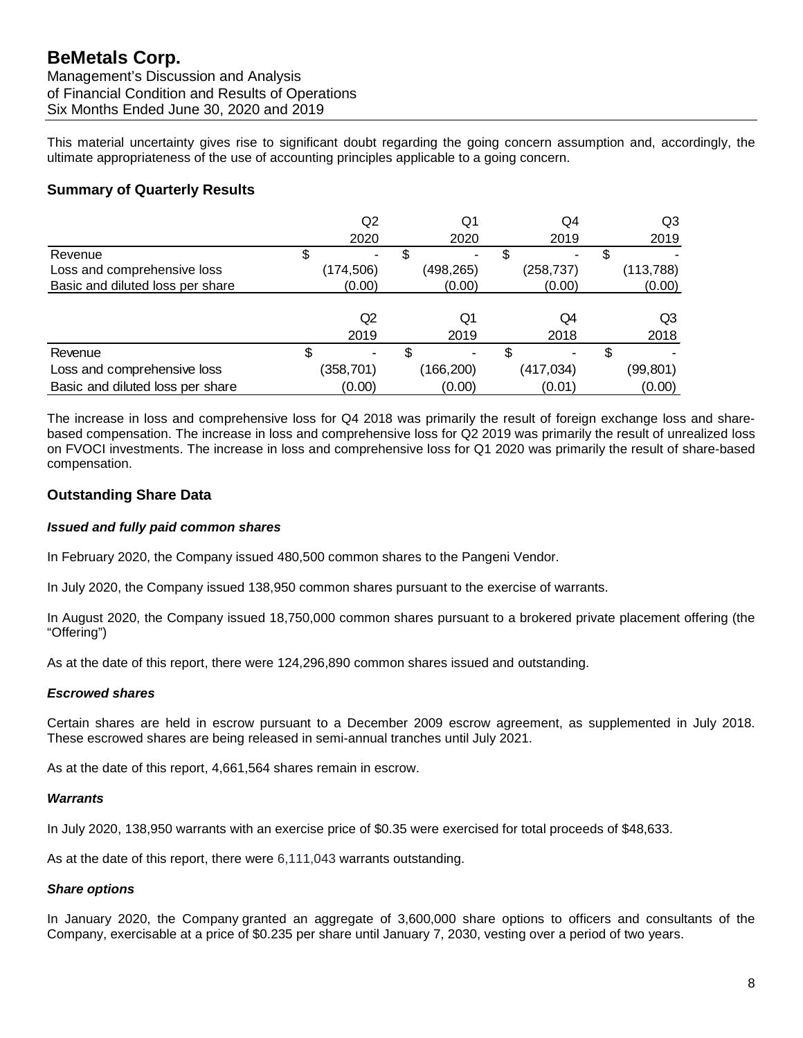This material uncertainty gives rise to significant doubt regarding the going concern assumption and, accordingly, the ultimate appropriateness of the use of accounting principles applicable to a going concern.

# **Summary of Quarterly Results**

|                                  |    | Q2                       |   | Q1         | Q4         |   | Q3         |
|----------------------------------|----|--------------------------|---|------------|------------|---|------------|
|                                  |    | 2020                     |   | 2020       | 2019       |   | 2019       |
| Revenue                          | S  | $\overline{\phantom{a}}$ |   | ٠          |            |   |            |
| Loss and comprehensive loss      |    | (174,506)                |   | (498,265)  | (258, 737) |   | (113, 788) |
| Basic and diluted loss per share |    | (0.00)                   |   | (0.00)     | (0.00)     |   | (0.00)     |
|                                  |    |                          |   |            |            |   |            |
|                                  |    | Q2                       |   | Q1         | Q4         |   | Q3         |
|                                  |    | 2019                     |   | 2019       | 2018       |   | 2018       |
| Revenue                          | \$ |                          | S |            |            | S |            |
| Loss and comprehensive loss      |    | (358, 701)               |   | (166, 200) | (417, 034) |   | (99, 801)  |
| Basic and diluted loss per share |    | (0.00)                   |   | (0.00)     | (0.01)     |   | (0.00)     |

The increase in loss and comprehensive loss for Q4 2018 was primarily the result of foreign exchange loss and sharebased compensation. The increase in loss and comprehensive loss for Q2 2019 was primarily the result of unrealized loss on FVOCI investments. The increase in loss and comprehensive loss for Q1 2020 was primarily the result of share-based compensation.

# **Outstanding Share Data**

#### *Issued and fully paid common shares*

In February 2020, the Company issued 480,500 common shares to the Pangeni Vendor.

In July 2020, the Company issued 138,950 common shares pursuant to the exercise of warrants.

In August 2020, the Company issued 18,750,000 common shares pursuant to a brokered private placement offering (the "Offering")

As at the date of this report, there were 124,296,890 common shares issued and outstanding.

#### *Escrowed shares*

Certain shares are held in escrow pursuant to a December 2009 escrow agreement, as supplemented in July 2018. These escrowed shares are being released in semi-annual tranches until July 2021.

As at the date of this report, 4,661,564 shares remain in escrow.

#### *Warrants*

In July 2020, 138,950 warrants with an exercise price of \$0.35 were exercised for total proceeds of \$48,633.

As at the date of this report, there were 6,111,043 warrants outstanding.

#### *Share options*

In January 2020, the Company granted an aggregate of 3,600,000 share options to officers and consultants of the Company, exercisable at a price of \$0.235 per share until January 7, 2030, vesting over a period of two years.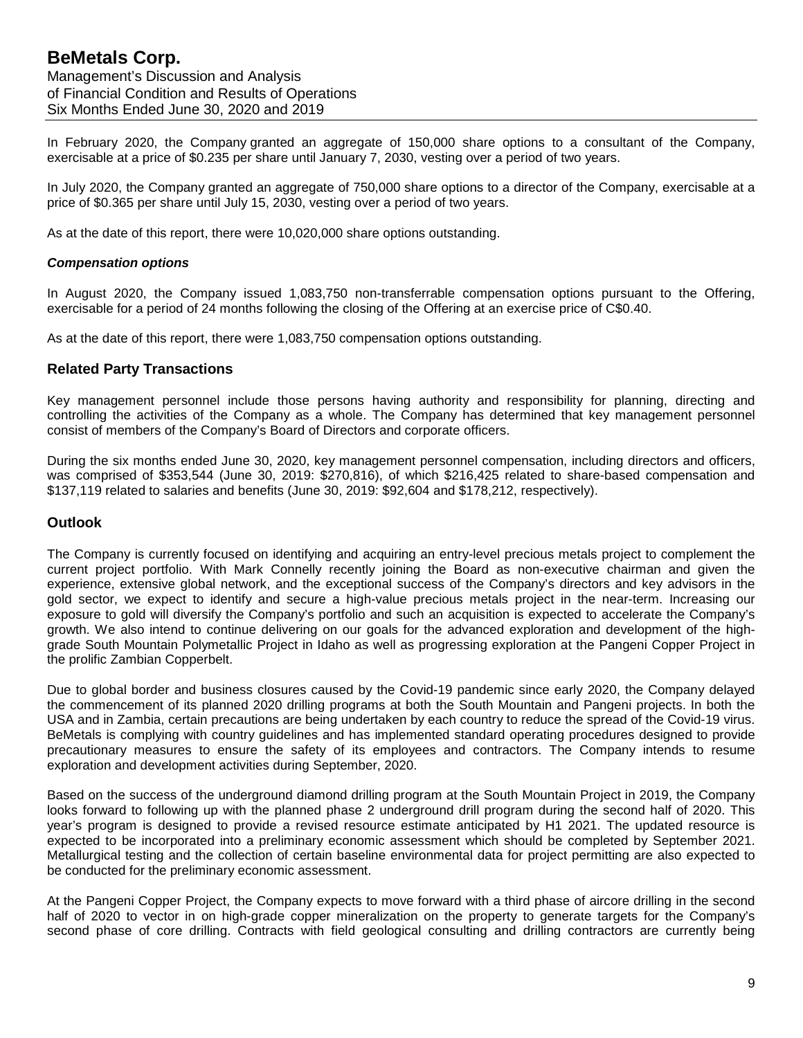In February 2020, the Company granted an aggregate of 150,000 share options to a consultant of the Company, exercisable at a price of \$0.235 per share until January 7, 2030, vesting over a period of two years.

In July 2020, the Company granted an aggregate of 750,000 share options to a director of the Company, exercisable at a price of \$0.365 per share until July 15, 2030, vesting over a period of two years.

As at the date of this report, there were 10,020,000 share options outstanding.

#### *Compensation options*

In August 2020, the Company issued 1,083,750 non-transferrable compensation options pursuant to the Offering, exercisable for a period of 24 months following the closing of the Offering at an exercise price of C\$0.40.

As at the date of this report, there were 1,083,750 compensation options outstanding.

## **Related Party Transactions**

Key management personnel include those persons having authority and responsibility for planning, directing and controlling the activities of the Company as a whole. The Company has determined that key management personnel consist of members of the Company's Board of Directors and corporate officers.

During the six months ended June 30, 2020, key management personnel compensation, including directors and officers, was comprised of \$353,544 (June 30, 2019: \$270,816), of which \$216,425 related to share-based compensation and \$137,119 related to salaries and benefits (June 30, 2019: \$92,604 and \$178,212, respectively).

## **Outlook**

The Company is currently focused on identifying and acquiring an entry-level precious metals project to complement the current project portfolio. With Mark Connelly recently joining the Board as non-executive chairman and given the experience, extensive global network, and the exceptional success of the Company's directors and key advisors in the gold sector, we expect to identify and secure a high-value precious metals project in the near-term. Increasing our exposure to gold will diversify the Company's portfolio and such an acquisition is expected to accelerate the Company's growth. We also intend to continue delivering on our goals for the advanced exploration and development of the highgrade South Mountain Polymetallic Project in Idaho as well as progressing exploration at the Pangeni Copper Project in the prolific Zambian Copperbelt.

Due to global border and business closures caused by the Covid-19 pandemic since early 2020, the Company delayed the commencement of its planned 2020 drilling programs at both the South Mountain and Pangeni projects. In both the USA and in Zambia, certain precautions are being undertaken by each country to reduce the spread of the Covid-19 virus. BeMetals is complying with country guidelines and has implemented standard operating procedures designed to provide precautionary measures to ensure the safety of its employees and contractors. The Company intends to resume exploration and development activities during September, 2020.

Based on the success of the underground diamond drilling program at the South Mountain Project in 2019, the Company looks forward to following up with the planned phase 2 underground drill program during the second half of 2020. This year's program is designed to provide a revised resource estimate anticipated by H1 2021. The updated resource is expected to be incorporated into a preliminary economic assessment which should be completed by September 2021. Metallurgical testing and the collection of certain baseline environmental data for project permitting are also expected to be conducted for the preliminary economic assessment.

At the Pangeni Copper Project, the Company expects to move forward with a third phase of aircore drilling in the second half of 2020 to vector in on high-grade copper mineralization on the property to generate targets for the Company's second phase of core drilling. Contracts with field geological consulting and drilling contractors are currently being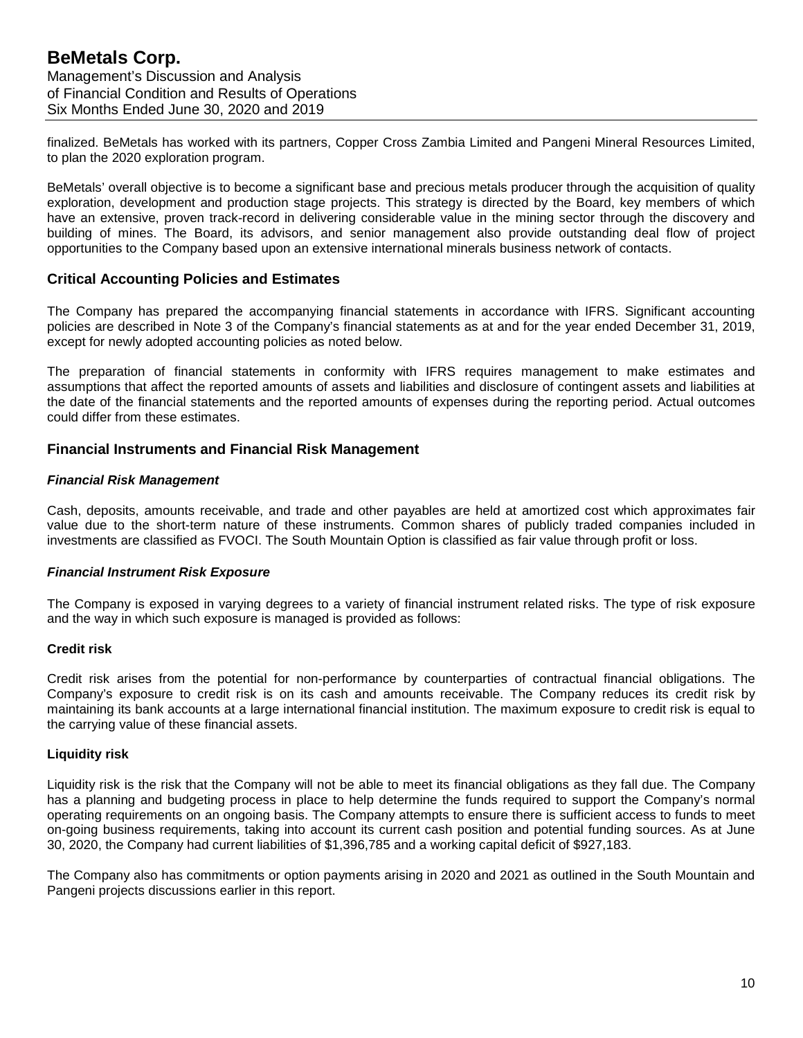finalized. BeMetals has worked with its partners, Copper Cross Zambia Limited and Pangeni Mineral Resources Limited, to plan the 2020 exploration program.

BeMetals' overall objective is to become a significant base and precious metals producer through the acquisition of quality exploration, development and production stage projects. This strategy is directed by the Board, key members of which have an extensive, proven track-record in delivering considerable value in the mining sector through the discovery and building of mines. The Board, its advisors, and senior management also provide outstanding deal flow of project opportunities to the Company based upon an extensive international minerals business network of contacts.

## **Critical Accounting Policies and Estimates**

The Company has prepared the accompanying financial statements in accordance with IFRS. Significant accounting policies are described in Note 3 of the Company's financial statements as at and for the year ended December 31, 2019, except for newly adopted accounting policies as noted below.

The preparation of financial statements in conformity with IFRS requires management to make estimates and assumptions that affect the reported amounts of assets and liabilities and disclosure of contingent assets and liabilities at the date of the financial statements and the reported amounts of expenses during the reporting period. Actual outcomes could differ from these estimates.

## **Financial Instruments and Financial Risk Management**

#### *Financial Risk Management*

Cash, deposits, amounts receivable, and trade and other payables are held at amortized cost which approximates fair value due to the short-term nature of these instruments. Common shares of publicly traded companies included in investments are classified as FVOCI. The South Mountain Option is classified as fair value through profit or loss.

#### *Financial Instrument Risk Exposure*

The Company is exposed in varying degrees to a variety of financial instrument related risks. The type of risk exposure and the way in which such exposure is managed is provided as follows:

#### **Credit risk**

Credit risk arises from the potential for non-performance by counterparties of contractual financial obligations. The Company's exposure to credit risk is on its cash and amounts receivable. The Company reduces its credit risk by maintaining its bank accounts at a large international financial institution. The maximum exposure to credit risk is equal to the carrying value of these financial assets.

#### **Liquidity risk**

Liquidity risk is the risk that the Company will not be able to meet its financial obligations as they fall due. The Company has a planning and budgeting process in place to help determine the funds required to support the Company's normal operating requirements on an ongoing basis. The Company attempts to ensure there is sufficient access to funds to meet on-going business requirements, taking into account its current cash position and potential funding sources. As at June 30, 2020, the Company had current liabilities of \$1,396,785 and a working capital deficit of \$927,183.

The Company also has commitments or option payments arising in 2020 and 2021 as outlined in the South Mountain and Pangeni projects discussions earlier in this report.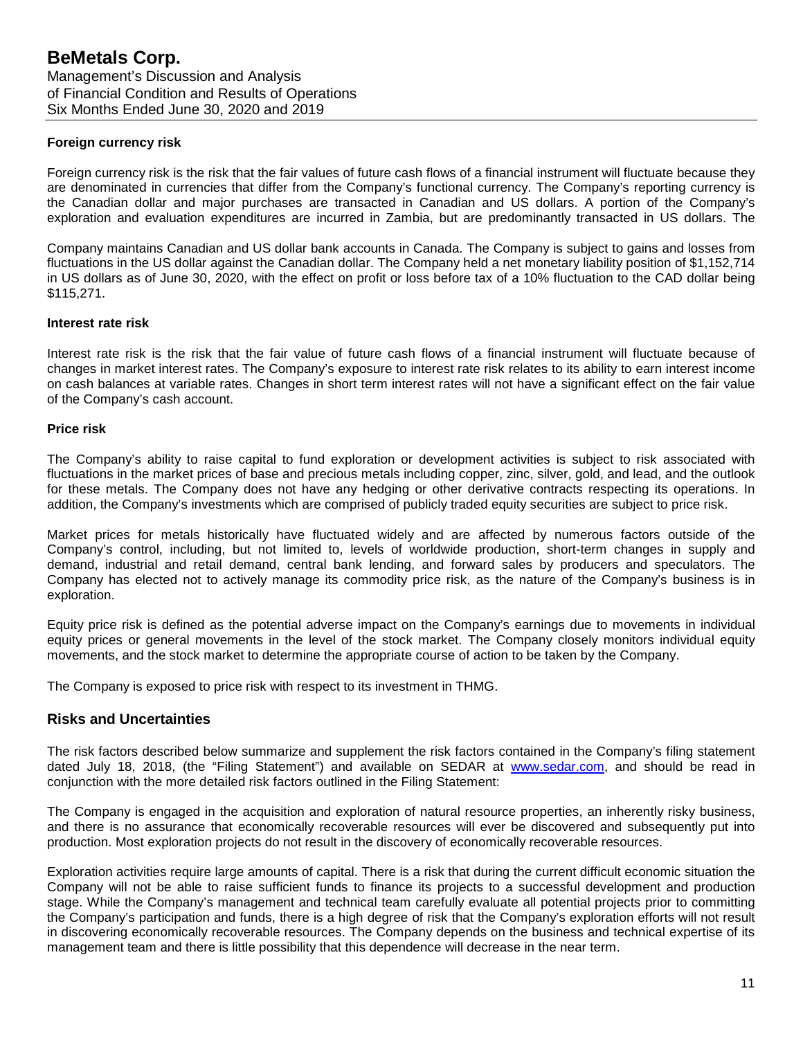#### **Foreign currency risk**

Foreign currency risk is the risk that the fair values of future cash flows of a financial instrument will fluctuate because they are denominated in currencies that differ from the Company's functional currency. The Company's reporting currency is the Canadian dollar and major purchases are transacted in Canadian and US dollars. A portion of the Company's exploration and evaluation expenditures are incurred in Zambia, but are predominantly transacted in US dollars. The

Company maintains Canadian and US dollar bank accounts in Canada. The Company is subject to gains and losses from fluctuations in the US dollar against the Canadian dollar. The Company held a net monetary liability position of \$1,152,714 in US dollars as of June 30, 2020, with the effect on profit or loss before tax of a 10% fluctuation to the CAD dollar being \$115,271.

#### **Interest rate risk**

Interest rate risk is the risk that the fair value of future cash flows of a financial instrument will fluctuate because of changes in market interest rates. The Company's exposure to interest rate risk relates to its ability to earn interest income on cash balances at variable rates. Changes in short term interest rates will not have a significant effect on the fair value of the Company's cash account.

#### **Price risk**

The Company's ability to raise capital to fund exploration or development activities is subject to risk associated with fluctuations in the market prices of base and precious metals including copper, zinc, silver, gold, and lead, and the outlook for these metals. The Company does not have any hedging or other derivative contracts respecting its operations. In addition, the Company's investments which are comprised of publicly traded equity securities are subject to price risk.

Market prices for metals historically have fluctuated widely and are affected by numerous factors outside of the Company's control, including, but not limited to, levels of worldwide production, short-term changes in supply and demand, industrial and retail demand, central bank lending, and forward sales by producers and speculators. The Company has elected not to actively manage its commodity price risk, as the nature of the Company's business is in exploration.

Equity price risk is defined as the potential adverse impact on the Company's earnings due to movements in individual equity prices or general movements in the level of the stock market. The Company closely monitors individual equity movements, and the stock market to determine the appropriate course of action to be taken by the Company.

The Company is exposed to price risk with respect to its investment in THMG.

## **Risks and Uncertainties**

The risk factors described below summarize and supplement the risk factors contained in the Company's filing statement dated July 18, 2018, (the "Filing Statement") and available on SEDAR at [www.sedar.com,](http://www.sedar.com/) and should be read in conjunction with the more detailed risk factors outlined in the Filing Statement:

The Company is engaged in the acquisition and exploration of natural resource properties, an inherently risky business, and there is no assurance that economically recoverable resources will ever be discovered and subsequently put into production. Most exploration projects do not result in the discovery of economically recoverable resources.

Exploration activities require large amounts of capital. There is a risk that during the current difficult economic situation the Company will not be able to raise sufficient funds to finance its projects to a successful development and production stage. While the Company's management and technical team carefully evaluate all potential projects prior to committing the Company's participation and funds, there is a high degree of risk that the Company's exploration efforts will not result in discovering economically recoverable resources. The Company depends on the business and technical expertise of its management team and there is little possibility that this dependence will decrease in the near term.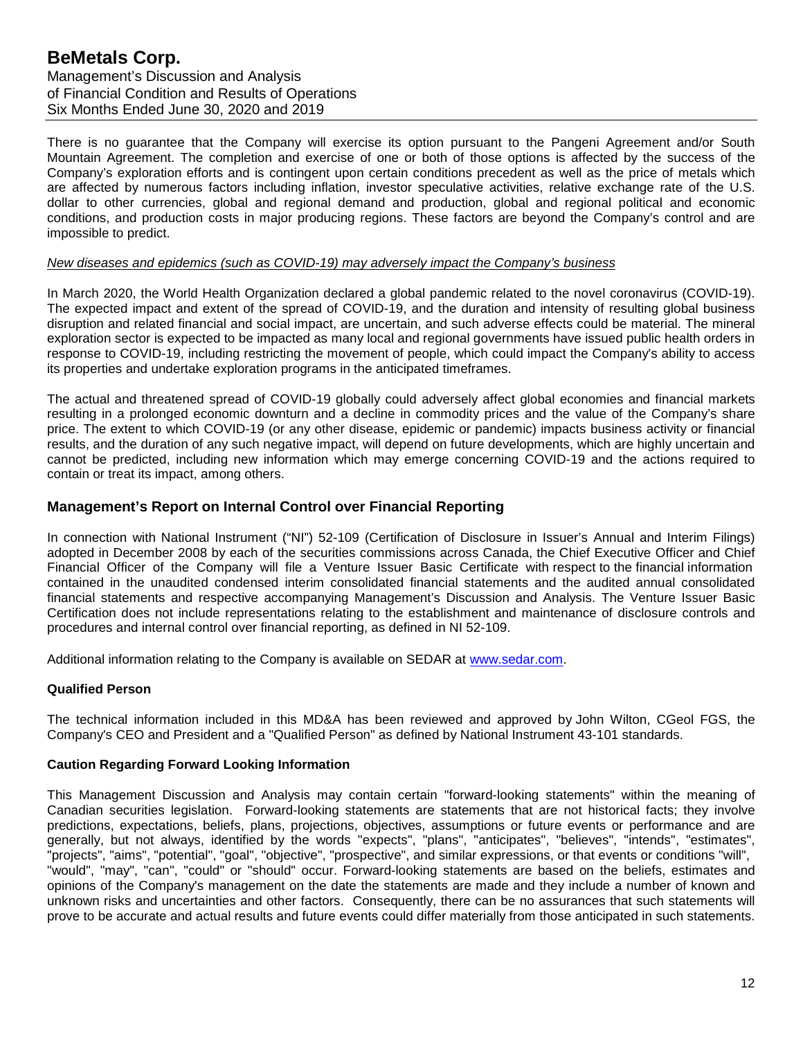There is no guarantee that the Company will exercise its option pursuant to the Pangeni Agreement and/or South Mountain Agreement. The completion and exercise of one or both of those options is affected by the success of the Company's exploration efforts and is contingent upon certain conditions precedent as well as the price of metals which are affected by numerous factors including inflation, investor speculative activities, relative exchange rate of the U.S. dollar to other currencies, global and regional demand and production, global and regional political and economic conditions, and production costs in major producing regions. These factors are beyond the Company's control and are impossible to predict.

#### *New diseases and epidemics (such as COVID-19) may adversely impact the Company's business*

In March 2020, the World Health Organization declared a global pandemic related to the novel coronavirus (COVID-19). The expected impact and extent of the spread of COVID-19, and the duration and intensity of resulting global business disruption and related financial and social impact, are uncertain, and such adverse effects could be material. The mineral exploration sector is expected to be impacted as many local and regional governments have issued public health orders in response to COVID-19, including restricting the movement of people, which could impact the Company's ability to access its properties and undertake exploration programs in the anticipated timeframes.

The actual and threatened spread of COVID-19 globally could adversely affect global economies and financial markets resulting in a prolonged economic downturn and a decline in commodity prices and the value of the Company's share price. The extent to which COVID-19 (or any other disease, epidemic or pandemic) impacts business activity or financial results, and the duration of any such negative impact, will depend on future developments, which are highly uncertain and cannot be predicted, including new information which may emerge concerning COVID-19 and the actions required to contain or treat its impact, among others.

#### **Management's Report on Internal Control over Financial Reporting**

In connection with National Instrument ("NI") 52-109 (Certification of Disclosure in Issuer's Annual and Interim Filings) adopted in December 2008 by each of the securities commissions across Canada, the Chief Executive Officer and Chief Financial Officer of the Company will file a Venture Issuer Basic Certificate with respect to the financial information contained in the unaudited condensed interim consolidated financial statements and the audited annual consolidated financial statements and respective accompanying Management's Discussion and Analysis. The Venture Issuer Basic Certification does not include representations relating to the establishment and maintenance of disclosure controls and procedures and internal control over financial reporting, as defined in NI 52-109.

Additional information relating to the Company is available on SEDAR at [www.sedar.com.](http://www.sedar.com/)

#### **Qualified Person**

The technical information included in this MD&A has been reviewed and approved by John Wilton, CGeol FGS, the Company's CEO and President and a "Qualified Person" as defined by National Instrument 43-101 standards.

#### **Caution Regarding Forward Looking Information**

This Management Discussion and Analysis may contain certain "forward-looking statements" within the meaning of Canadian securities legislation. Forward-looking statements are statements that are not historical facts; they involve predictions, expectations, beliefs, plans, projections, objectives, assumptions or future events or performance and are generally, but not always, identified by the words "expects", "plans", "anticipates", "believes", "intends", "estimates", "projects", "aims", "potential", "goal", "objective", "prospective", and similar expressions, or that events or conditions "will", "would", "may", "can", "could" or "should" occur. Forward-looking statements are based on the beliefs, estimates and opinions of the Company's management on the date the statements are made and they include a number of known and unknown risks and uncertainties and other factors. Consequently, there can be no assurances that such statements will prove to be accurate and actual results and future events could differ materially from those anticipated in such statements.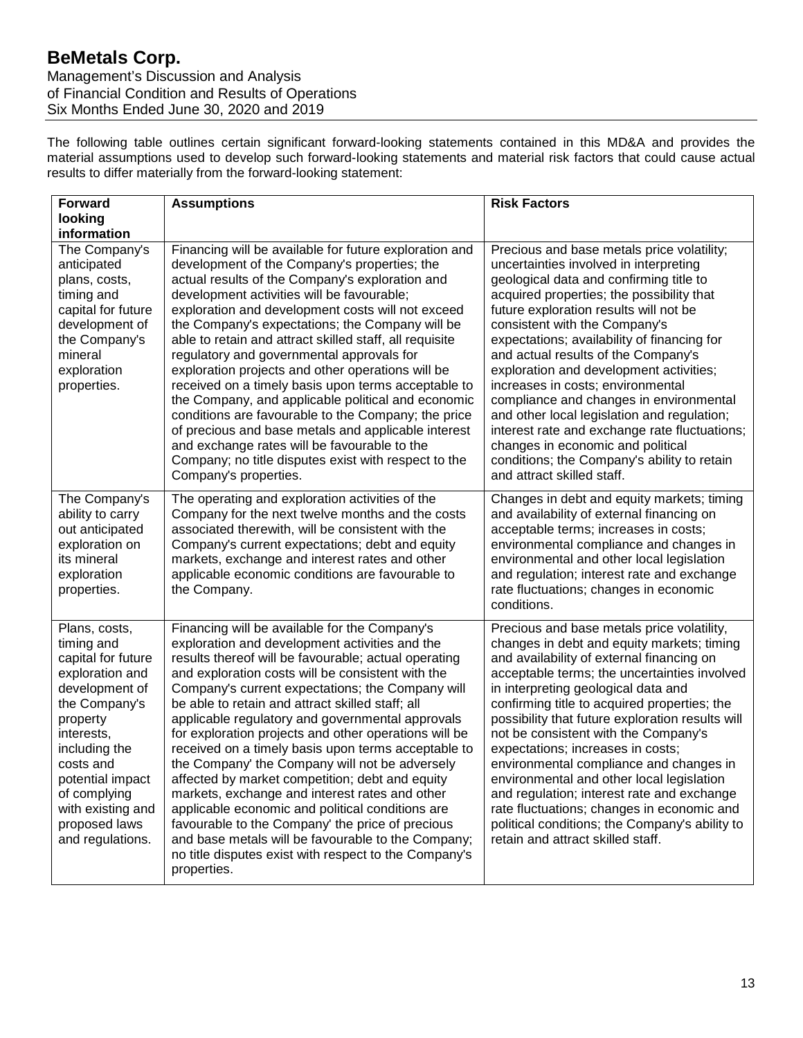# **BeMetals Corp.**

Management's Discussion and Analysis of Financial Condition and Results of Operations Six Months Ended June 30, 2020 and 2019

The following table outlines certain significant forward-looking statements contained in this MD&A and provides the material assumptions used to develop such forward-looking statements and material risk factors that could cause actual results to differ materially from the forward-looking statement:

| <b>Forward</b>                                                                                                                                                                                                                                                | <b>Assumptions</b>                                                                                                                                                                                                                                                                                                                                                                                                                                                                                                                                                                                                                                                                                                                                                                                                                                                                    | <b>Risk Factors</b>                                                                                                                                                                                                                                                                                                                                                                                                                                                                                                                                                                                                                                                                        |
|---------------------------------------------------------------------------------------------------------------------------------------------------------------------------------------------------------------------------------------------------------------|---------------------------------------------------------------------------------------------------------------------------------------------------------------------------------------------------------------------------------------------------------------------------------------------------------------------------------------------------------------------------------------------------------------------------------------------------------------------------------------------------------------------------------------------------------------------------------------------------------------------------------------------------------------------------------------------------------------------------------------------------------------------------------------------------------------------------------------------------------------------------------------|--------------------------------------------------------------------------------------------------------------------------------------------------------------------------------------------------------------------------------------------------------------------------------------------------------------------------------------------------------------------------------------------------------------------------------------------------------------------------------------------------------------------------------------------------------------------------------------------------------------------------------------------------------------------------------------------|
| looking                                                                                                                                                                                                                                                       |                                                                                                                                                                                                                                                                                                                                                                                                                                                                                                                                                                                                                                                                                                                                                                                                                                                                                       |                                                                                                                                                                                                                                                                                                                                                                                                                                                                                                                                                                                                                                                                                            |
| information<br>The Company's<br>anticipated<br>plans, costs,<br>timing and<br>capital for future<br>development of<br>the Company's<br>mineral<br>exploration<br>properties.                                                                                  | Financing will be available for future exploration and<br>development of the Company's properties; the<br>actual results of the Company's exploration and<br>development activities will be favourable;<br>exploration and development costs will not exceed<br>the Company's expectations; the Company will be<br>able to retain and attract skilled staff, all requisite<br>regulatory and governmental approvals for<br>exploration projects and other operations will be<br>received on a timely basis upon terms acceptable to<br>the Company, and applicable political and economic<br>conditions are favourable to the Company; the price<br>of precious and base metals and applicable interest<br>and exchange rates will be favourable to the<br>Company; no title disputes exist with respect to the<br>Company's properties.                                              | Precious and base metals price volatility;<br>uncertainties involved in interpreting<br>geological data and confirming title to<br>acquired properties; the possibility that<br>future exploration results will not be<br>consistent with the Company's<br>expectations; availability of financing for<br>and actual results of the Company's<br>exploration and development activities;<br>increases in costs; environmental<br>compliance and changes in environmental<br>and other local legislation and regulation;<br>interest rate and exchange rate fluctuations;<br>changes in economic and political<br>conditions; the Company's ability to retain<br>and attract skilled staff. |
| The Company's<br>ability to carry<br>out anticipated<br>exploration on<br>its mineral<br>exploration<br>properties.                                                                                                                                           | The operating and exploration activities of the<br>Company for the next twelve months and the costs<br>associated therewith, will be consistent with the<br>Company's current expectations; debt and equity<br>markets, exchange and interest rates and other<br>applicable economic conditions are favourable to<br>the Company.                                                                                                                                                                                                                                                                                                                                                                                                                                                                                                                                                     | Changes in debt and equity markets; timing<br>and availability of external financing on<br>acceptable terms; increases in costs;<br>environmental compliance and changes in<br>environmental and other local legislation<br>and regulation; interest rate and exchange<br>rate fluctuations; changes in economic<br>conditions.                                                                                                                                                                                                                                                                                                                                                            |
| Plans, costs,<br>timing and<br>capital for future<br>exploration and<br>development of<br>the Company's<br>property<br>interests,<br>including the<br>costs and<br>potential impact<br>of complying<br>with existing and<br>proposed laws<br>and regulations. | Financing will be available for the Company's<br>exploration and development activities and the<br>results thereof will be favourable; actual operating<br>and exploration costs will be consistent with the<br>Company's current expectations; the Company will<br>be able to retain and attract skilled staff; all<br>applicable regulatory and governmental approvals<br>for exploration projects and other operations will be<br>received on a timely basis upon terms acceptable to<br>the Company' the Company will not be adversely<br>affected by market competition; debt and equity<br>markets, exchange and interest rates and other<br>applicable economic and political conditions are<br>favourable to the Company' the price of precious<br>and base metals will be favourable to the Company;<br>no title disputes exist with respect to the Company's<br>properties. | Precious and base metals price volatility,<br>changes in debt and equity markets; timing<br>and availability of external financing on<br>acceptable terms; the uncertainties involved<br>in interpreting geological data and<br>confirming title to acquired properties; the<br>possibility that future exploration results will<br>not be consistent with the Company's<br>expectations; increases in costs;<br>environmental compliance and changes in<br>environmental and other local legislation<br>and regulation; interest rate and exchange<br>rate fluctuations; changes in economic and<br>political conditions; the Company's ability to<br>retain and attract skilled staff.   |